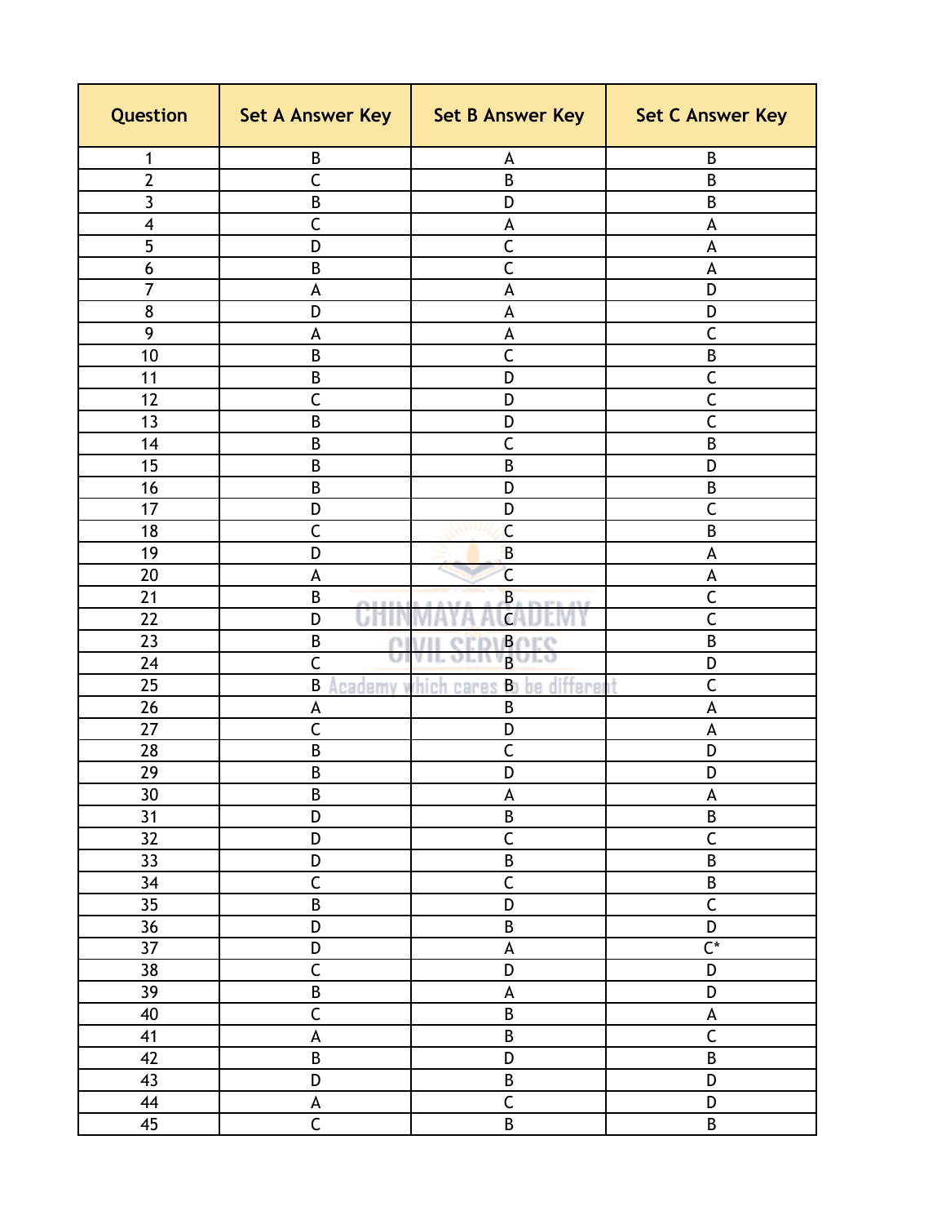| Question                | Set A Answer Key          | Set B Answer Key                         | <b>Set C Answer Key</b>   |
|-------------------------|---------------------------|------------------------------------------|---------------------------|
| 1                       | B                         | A                                        | B                         |
| $\overline{2}$          | C                         | B                                        | B                         |
| 3                       | B                         | D                                        | B                         |
| $\overline{\mathbf{4}}$ | $\overline{\mathsf{C}}$   | A                                        | A                         |
| 5                       | D                         | $\overline{C}$                           | A                         |
| 6                       | B                         | C                                        | A                         |
| 7                       | A                         | A                                        | D                         |
| 8                       | D                         | A                                        | D                         |
| 9                       | A                         | A                                        | C                         |
| 10                      | B                         | $\overline{C}$                           | $\sf B$                   |
| 11                      | B                         | D                                        | $\mathsf{C}$              |
| 12                      | C                         | D                                        | $\overline{\mathsf{C}}$   |
| 13                      | B                         | D                                        | C                         |
| 14                      | B                         | $\mathsf{C}$                             | B                         |
| 15                      | B                         | B                                        | D                         |
| 16                      | B                         | D                                        | B                         |
| 17                      | D                         | D                                        | $\mathsf{C}$              |
| 18                      | C                         | $\mathsf{C}$                             | $\sf B$                   |
| 19                      | D                         | B                                        | A                         |
| 20                      | A                         | $\overline{\mathsf{C}}$                  | A                         |
| 21                      | B                         | $\overline{B}$<br>$-0.5 - 0.0$           | $\mathsf{C}$              |
| 22                      | D<br>UTII                 | $\overline{C}$                           | $\overline{C}$            |
| 23                      | B<br>Ω                    | BOEC<br>erby<br>Ш                        | B                         |
| 24                      | Ć                         | $\overline{B}$<br>OI.<br>VIL.<br>ш       | D                         |
| 25                      | B                         | Academy which cares<br>be different<br>B | C                         |
| 26                      | A                         | B                                        | A                         |
| 27                      | C                         | D                                        | A                         |
| 28                      | B                         | C                                        | D                         |
| 29                      | B                         | D                                        | D                         |
| 30                      | $\sf B$                   | A                                        | A                         |
| 31                      | D                         | $\sf{B}$                                 | $\sf B$                   |
| 32                      | D                         | $\overline{\mathsf{C}}$                  | $\overline{\mathsf{C}}$   |
| 33                      | D                         | $\sf{B}$                                 | $\overline{B}$            |
| 34                      | $\overline{\mathsf{C}}$   | $\overline{C}$                           | $\overline{B}$            |
| 35                      | $\overline{B}$            | D                                        | $\overline{\mathsf{C}}$   |
| 36                      | $\overline{D}$            | $\overline{B}$                           | $\overline{D}$            |
| 37                      | D                         | $\mathsf A$                              | $\overline{C^*}$          |
| 38                      | $\overline{\mathsf{C}}$   | D                                        | D                         |
| 39                      | $\overline{B}$            | A                                        | D                         |
| 40                      | $\overline{\mathsf{C}}$   | B                                        | $\boldsymbol{\mathsf{A}}$ |
| 41                      | $\boldsymbol{\mathsf{A}}$ | $\sf B$                                  | $\overline{\mathsf{C}}$   |
| 42                      | $\overline{B}$            | D                                        | $\sf B$                   |
| 43                      | D                         | B                                        | D                         |
| 44                      | A                         | $\overline{\mathsf{C}}$                  | $\overline{D}$            |
| 45                      | $\overline{\mathsf{C}}$   | $\sf{B}$                                 | $\overline{B}$            |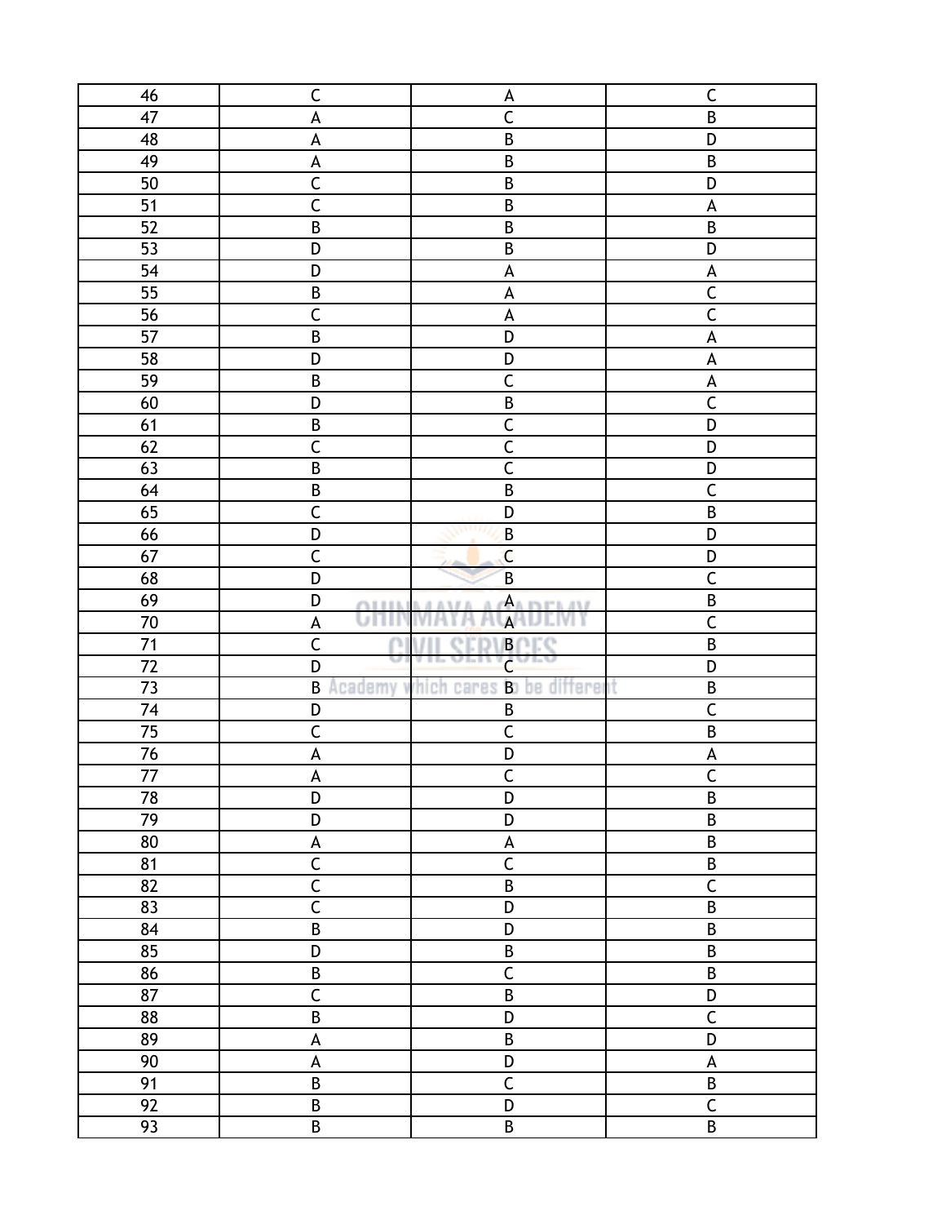| 46             | $\mathsf C$               | $\mathsf{A}$                                 | $\mathsf C$               |
|----------------|---------------------------|----------------------------------------------|---------------------------|
| 47             | A                         | $\overline{C}$                               | $\sf B$                   |
| 48             | $\boldsymbol{\mathsf{A}}$ | $\overline{B}$                               | D                         |
| 49             | A                         | $\sf B$                                      | $\sf{B}$                  |
| 50             | $\overline{\mathsf{C}}$   | $\sf B$                                      | D                         |
| 51             | $\overline{\mathsf{C}}$   | $\sf B$                                      | $\boldsymbol{\mathsf{A}}$ |
| 52             | $\sf{B}$                  | $\sf B$                                      | $\sf B$                   |
| 53             | D                         | $\sf B$                                      | D                         |
| 54             | D                         | $\mathsf A$                                  | $\boldsymbol{\mathsf{A}}$ |
| 55             | $\sf{B}$                  | $\pmb{\mathsf{A}}$                           | $\overline{\mathsf{C}}$   |
| 56             | $\overline{\mathsf{C}}$   | $\mathsf A$                                  | $\overline{\mathsf{C}}$   |
| 57             | $\overline{B}$            | D                                            | $\boldsymbol{\mathsf{A}}$ |
| 58             | D                         | D                                            | $\boldsymbol{\mathsf{A}}$ |
| 59             | $\sf{B}$                  | $\overline{C}$                               | $\overline{A}$            |
| 60             | D                         | $\overline{B}$                               | $\overline{\mathsf{C}}$   |
| 61             | $\overline{B}$            | $\overline{C}$                               | $\overline{D}$            |
| 62             | $\overline{\mathsf{C}}$   | $rac{C}{C}$                                  | $\overline{D}$            |
| 63             | $\overline{B}$            |                                              | D                         |
| 64             | $\overline{B}$            | $\overline{B}$                               | $\overline{\mathsf{C}}$   |
| 65             | $\overline{\mathsf{C}}$   | D                                            | $\overline{B}$            |
| 66             | $\overline{D}$            | $\, {\bf B}$<br><b>MARTIN</b>                | D                         |
| 67             | $\overline{\mathsf{C}}$   | $\overline{C}$                               | D                         |
| 68             | D                         | $\overline{B}$                               | $\overline{\mathsf{C}}$   |
| 69             | D<br><b>CLEEK</b>         | Aa in it b                                   | $\overline{B}$            |
| $70\,$         | umn<br>$\overline{A}$     | A                                            | $\overline{\mathsf{C}}$   |
| 71             | $\overline{\mathsf{C}}$   | BOEC                                         | $\overline{B}$            |
| 72             | v<br>D                    | $\overline{\mathsf{c}}$<br>ヘビハ               | $\overline{D}$            |
| 73             | B                         | Academy which cares <b>B</b> o<br>be differe | $\overline{B}$            |
| 74             | D                         | B                                            | $\overline{\mathsf{C}}$   |
| 75             | $\mathsf C$               | $\mathsf C$                                  | $\sf B$                   |
| 76             | $\boldsymbol{\mathsf{A}}$ | $\overline{D}$                               | $\boldsymbol{\mathsf{A}}$ |
| $\frac{77}{2}$ | $\pmb{\mathsf{A}}$        | $\mathsf C$                                  | $\overline{\mathsf{C}}$   |
| 78             | D                         | $\overline{D}$                               | $\overline{B}$            |
| 79             | D                         | D                                            | $\sf{B}$                  |
| 80             | $\boldsymbol{\mathsf{A}}$ | $\mathsf A$                                  | $\overline{B}$            |
| 81             | $\overline{\mathsf{C}}$   | $\overline{C}$                               | $\sf B$                   |
| 82             | $\overline{\mathsf{C}}$   | $\sf B$                                      | $\overline{\mathsf{C}}$   |
| 83             | $\overline{\mathsf{C}}$   | D                                            | $\sf B$                   |
| 84             | $\overline{B}$            | D                                            | $\sf B$                   |
| 85             | D                         | $\sf B$                                      | $\overline{B}$            |
| 86             | $\sf{B}$                  | $\overline{C}$                               | $\sf{B}$                  |
| 87             | $\overline{\mathsf{C}}$   | $\overline{\mathsf{B}}$                      | $\overline{D}$            |
| 88             | $\overline{B}$            | D                                            | $\mathsf C$               |
| 89             | $\boldsymbol{\mathsf{A}}$ | $\sf B$                                      | $\overline{D}$            |
| 90             | A                         | D                                            | $\mathsf A$               |
| 91             | $\overline{\mathsf{B}}$   | $\overline{\mathsf{C}}$                      | $\overline{B}$            |
| 92             | $\sf{B}$                  | D                                            | $\overline{\mathsf{C}}$   |
| 93             | $\sf{B}$                  | $\sf B$                                      | $\sf{B}$                  |